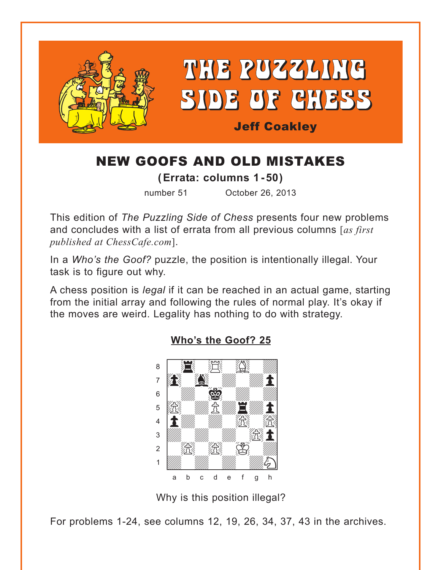<span id="page-0-0"></span>

# NEW GOOFS AND OLD MISTAKES

**( Errata: columns 1 -50)**

number 51 October 26, 2013

This edition of *The Puzzling Side of Chess* presents four new problems and concludes with a list of errata from all previous columns [*as first published at ChessCafe.com*].

In a *Who's the Goof?* puzzle, the position is intentionally illegal. Your task is to figure out why.

A chess position is *legal* if it can be reached in an actual game, starting from the initial array and following the rules of normal play. It's okay if the moves are weird. Legality has nothing to do with strategy.



### **[Who's the Goof? 25](#page-6-0)**

Why is this position illegal?

For problems 1-24, see columns 12, 19, 26, 34, 37, 43 in the archives.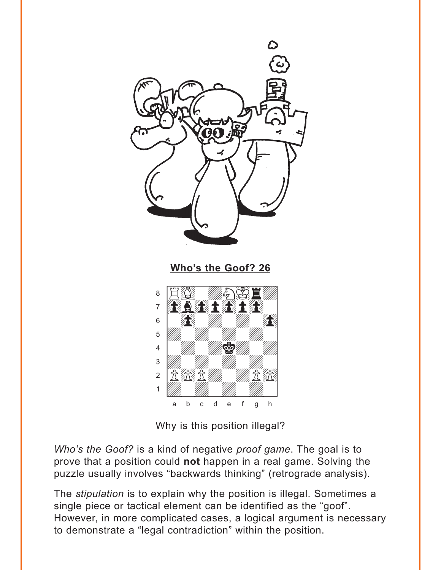<span id="page-1-0"></span>

Why is this position illegal?

Who's the Goof? is a kind of negative proof game. The goal is to prove that a position could not happen in a real game. Solving the puzzle usually involves "backwards thinking" (retrograde analysis).

The stipulation is to explain why the position is illegal. Sometimes a single piece or tactical element can be identified as the "goof". However, in more complicated cases, a logical argument is necessary to demonstrate a "legal contradiction" within the position.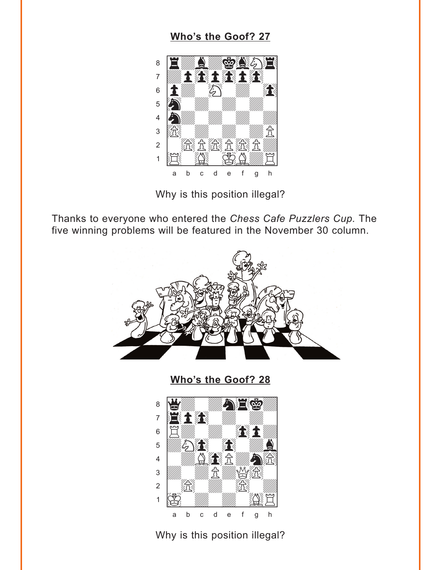# Who's the Goof? 27

<span id="page-2-0"></span>

Why is this position illegal?

Thanks to everyone who entered the Chess Cafe Puzzlers Cup. The five winning problems will be featured in the November 30 column.



Who's the Goof? 28



Why is this position illegal?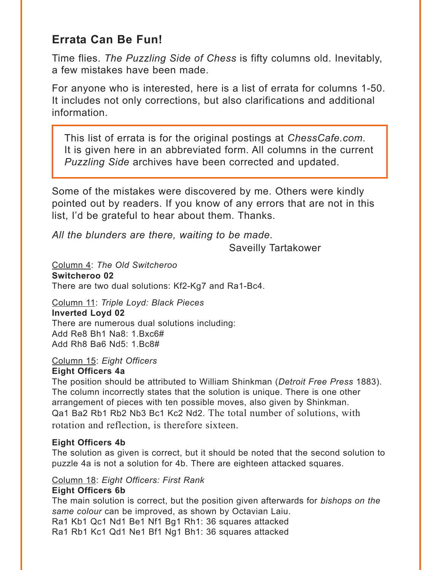# **Errata Can Be Fun!**

Time flies. *The Puzzling Side of Chess* is fifty columns old. Inevitably, a few mistakes have been made.

For anyone who is interested, here is a list of errata for columns 1-50. It includes not only corrections, but also clarifications and additional information.

This list of errata is for the original postings at *ChessCafe.com*. It is given here in an abbreviated form. All columns in the current *Puzzling Side* archives have been corrected and updated.

Some of the mistakes were discovered by me. Others were kindly pointed out by readers. If you know of any errors that are not in this list, I'd be grateful to hear about them. Thanks.

*All the blunders are there, waiting to be made.*

Saveilly Tartakower

Column 4: *The Old Switcheroo* **Switcheroo 02** There are two dual solutions: Kf2-Kg7 and Ra1-Bc4.

Column 11: *Triple Loyd: Black Pieces* **Inverted Loyd 02** There are numerous dual solutions including: Add Re8 Bh1 Na8: 1.Bxc6# Add Rh8 Ba6 Nd5: 1.Bc8#

Column 15: *Eight Officers* **Eight Officers 4a**

The position should be attributed to William Shinkman (*Detroit Free Press* 1883). The column incorrectly states that the solution is unique. There is one other arrangement of pieces with ten possible moves, also given by Shinkman. Qa1 Ba2 Rb1 Rb2 Nb3 Bc1 Kc2 Nd2. The total number of solutions, with rotation and reflection, is therefore sixteen.

#### **Eight Officers 4b**

The solution as given is correct, but it should be noted that the second solution to puzzle 4a is not a solution for 4b. There are eighteen attacked squares.

Column 18: *Eight Officers: First Rank* **Eight Officers 6b**

The main solution is correct, but the position given afterwards for *bishops on the same colour* can be improved, as shown by Octavian Laiu. Ra1 Kb1 Qc1 Nd1 Be1 Nf1 Bg1 Rh1: 36 squares attacked Ra1 Rb1 Kc1 Qd1 Ne1 Bf1 Ng1 Bh1: 36 squares attacked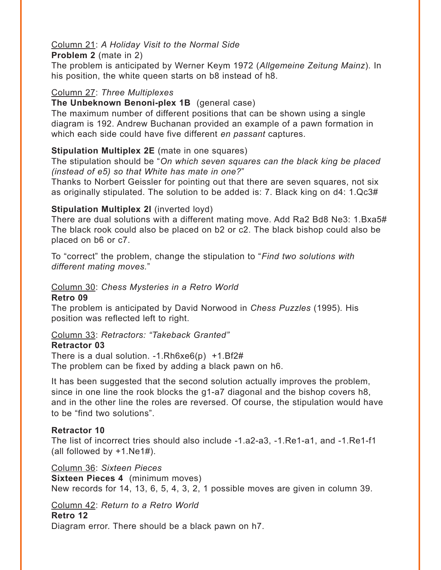#### Column 21: *A Holiday Visit to the Normal Side*

**Problem 2** (mate in 2)

The problem is anticipated by Werner Keym 1972 (*Allgemeine Zeitung Mainz*). In his position, the white queen starts on b8 instead of h8.

#### Column 27: *Three Multiplexes*

#### **The Unbeknown Benoni-plex 1B** (general case)

The maximum number of different positions that can be shown using a single diagram is 192. Andrew Buchanan provided an example of a pawn formation in which each side could have five different *en passant* captures.

#### **Stipulation Multiplex 2E** (mate in one squares)

The stipulation should be "*On which seven squares can the black king be placed (instead of e5) so that White has mate in one?*"

Thanks to Norbert Geissler for pointing out that there are seven squares, not six as originally stipulated. The solution to be added is: 7. Black king on d4: 1.Qc3#

#### **Stipulation Multiplex 2I** (inverted loyd)

There are dual solutions with a different mating move. Add Ra2 Bd8 Ne3: 1.Bxa5# The black rook could also be placed on b2 or c2. The black bishop could also be placed on b6 or c7.

To "correct" the problem, change the stipulation to "*Find two solutions with different mating moves.*"

#### Column 30: *Chess Mysteries in a Retro World*

#### **Retro 09**

The problem is anticipated by David Norwood in *Chess Puzzles* (1995)*.* His position was reflected left to right.

#### Column 33: *Retractors: "Takeback Granted"*

#### **Retractor 03**

There is a dual solution.  $-1.Rh6xe6(p) +1.Bf2#$ The problem can be fixed by adding a black pawn on h6.

It has been suggested that the second solution actually improves the problem, since in one line the rook blocks the g1-a7 diagonal and the bishop covers h8, and in the other line the roles are reversed. Of course, the stipulation would have to be "find two solutions".

#### **Retractor 10**

The list of incorrect tries should also include -1.a2-a3, -1.Re1-a1, and -1.Re1-f1 (all followed by +1.Ne1#).

Column 36: *Sixteen Pieces* **Sixteen Pieces 4** (minimum moves) New records for 14, 13, 6, 5, 4, 3, 2, 1 possible moves are given in column 39.

#### Column 42: *Return to a Retro World* **Retro 12**

Diagram error. There should be a black pawn on h7.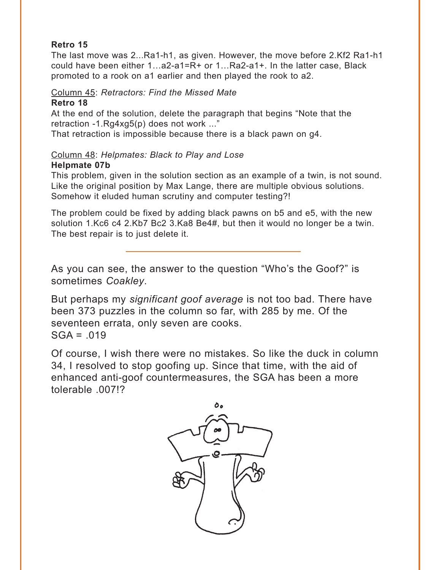#### **Retro 15**

The last move was 2...Ra1-h1, as given. However, the move before 2.Kf2 Ra1-h1 could have been either 1…a2-a1=R+ or 1…Ra2-a1+. In the latter case, Black promoted to a rook on a1 earlier and then played the rook to a2.

Column 45: *Retractors: Find the Missed Mate*

#### **Retro 18**

At the end of the solution, delete the paragraph that begins "Note that the retraction -1.Rg4xg5(p) does not work ..."

That retraction is impossible because there is a black pawn on g4.

#### Column 48: *Helpmates: Black to Play and Lose*

#### **Helpmate 07b**

This problem, given in the solution section as an example of a twin, is not sound. Like the original position by Max Lange, there are multiple obvious solutions. Somehow it eluded human scrutiny and computer testing?!

The problem could be fixed by adding black pawns on b5 and e5, with the new solution 1.Kc6 c4 2.Kb7 Bc2 3.Ka8 Be4#, but then it would no longer be a twin. The best repair is to just delete it.

As you can see, the answer to the question "Who's the Goof?" is sometimes *Coakley*.

But perhaps my *significant goof average* is not too bad. There have been 373 puzzles in the column so far, with 285 by me. Of the seventeen errata, only seven are cooks.  $SGA = .019$ 

Of course, I wish there were no mistakes. So like the duck in column 34, I resolved to stop goofing up. Since that time, with the aid of enhanced anti-goof countermeasures, the SGA has been a more tolerable .007!?

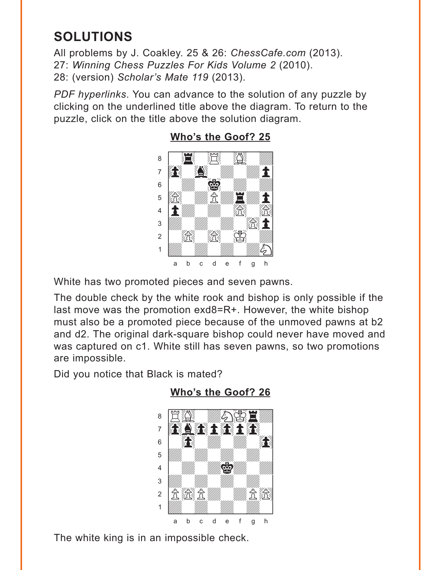# <span id="page-6-0"></span>**SOLUTIONS**

All problems by J. Coakley. 25 & 26: *ChessCafe.com* (2013). 27: *Winning Chess Puzzles For Kids Volume 2* (2010). 28: (version) *Scholar's Mate 119* (2013).

*PDF hyperlinks*. You can advance to the solution of any puzzle by clicking on the underlined title above the diagram. To return to the puzzle, click on the title above the solution diagram.



## **[Who's the Goof? 25](#page-0-0)**

White has two promoted pieces and seven pawns.

The double check by the white rook and bishop is only possible if the last move was the promotion exd8=R+. However, the white bishop must also be a promoted piece because of the unmoved pawns at b2 and d2. The original dark-square bishop could never have moved and was captured on c1. White still has seven pawns, so two promotions are impossible.

Did you notice that Black is mated?



**[Who's the Goof? 26](#page-1-0)**

The white king is in an impossible check.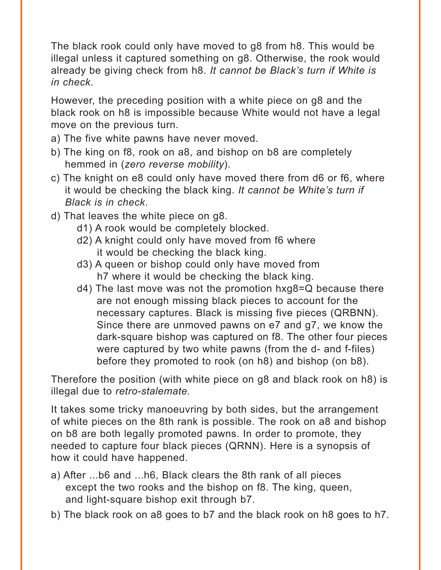The black rook could only have moved to g8 from h8. This would be illegal unless it captured something on g8. Otherwise, the rook would already be giving check from h8. *It cannot be Black's turn if White is in check*.

However, the preceding position with a white piece on g8 and the black rook on h8 is impossible because White would not have a legal move on the previous turn.

- a) The five white pawns have never moved.
- b) The king on f8, rook on a8, and bishop on b8 are completely hemmed in (*zero reverse mobility*).
- c) The knight on e8 could only have moved there from d6 or f6, where it would be checking the black king. *It cannot be White's turn if Black is in check*.
- d) That leaves the white piece on g8.
	- d1) A rook would be completely blocked.
	- d2) A knight could only have moved from f6 where it would be checking the black king.
	- d3) A queen or bishop could only have moved from h7 where it would be checking the black king.
	- d4) The last move was not the promotion hxg8=Q because there are not enough missing black pieces to account for the necessary captures. Black is missing five pieces (QRBNN). Since there are unmoved pawns on e7 and g7, we know the dark-square bishop was captured on f8. The other four pieces were captured by two white pawns (from the d- and f-files) before they promoted to rook (on h8) and bishop (on b8).

Therefore the position (with white piece on g8 and black rook on h8) is illegal due to *retro-stalemate.*

It takes some tricky manoeuvring by both sides, but the arrangement of white pieces on the 8th rank is possible. The rook on a8 and bishop on b8 are both legally promoted pawns. In order to promote, they needed to capture four black pieces (QRNN). Here is a synopsis of how it could have happened.

- a) After ...b6 and ...h6, Black clears the 8th rank of all pieces except the two rooks and the bishop on f8. The king, queen, and light-square bishop exit through b7.
- b) The black rook on a8 goes to b7 and the black rook on h8 goes to h7.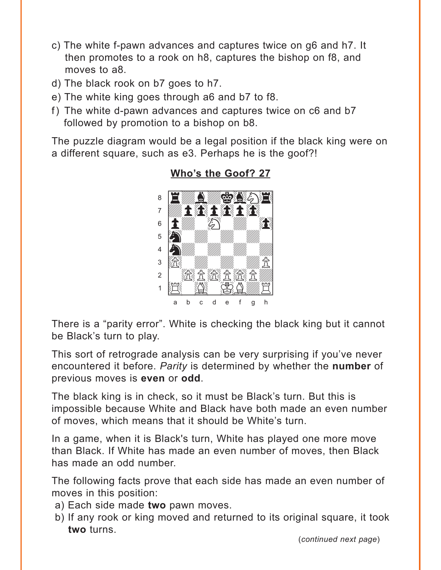- <span id="page-8-0"></span>c) The white f-pawn advances and captures twice on g6 and h7. It then promotes to a rook on h8, captures the bishop on f8, and moves to a8.
- d) The black rook on b7 goes to h7.
- e) The white king goes through a6 and b7 to f8.
- f) The white d-pawn advances and captures twice on c6 and b7 followed by promotion to a bishop on b8.

The puzzle diagram would be a legal position if the black king were on a different square, such as e3. Perhaps he is the goof?!



### Who's the Goof? 27

There is a "parity error". White is checking the black king but it cannot be Black's turn to play.

This sort of retrograde analysis can be very surprising if you've never encountered it before. Parity is determined by whether the number of previous moves is even or odd.

The black king is in check, so it must be Black's turn. But this is impossible because White and Black have both made an even number of moves, which means that it should be White's turn.

In a game, when it is Black's turn, White has played one more move than Black. If White has made an even number of moves, then Black has made an odd number.

The following facts prove that each side has made an even number of moves in this position:

- a) Each side made two pawn moves.
- b) If any rook or king moved and returned to its original square, it took two turns.

(continued next page)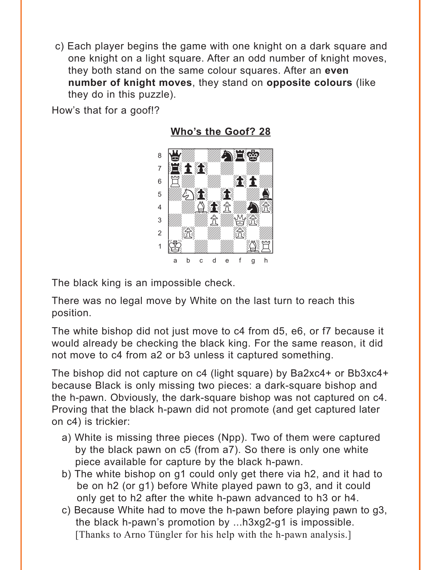<span id="page-9-0"></span>c) Each player begins the game with one knight on a dark square and one knight on a light square. After an odd number of knight moves, they both stand on the same colour squares. After an **even number of knight moves**, they stand on **opposite colours** (like they do in this puzzle).

How's that for a goof!?

with the set of the set of the set of the set of the set of the set of the set of the set of the set of the set of the set of the set of the set of the set of the set of the set of the set of the set of the set of the set  $\cdot$  by  $\mathbb{Z}$  , we have the  $\mathbb{Z}$ 

**[Who's the Goof? 28](#page-2-0)**



The black king is an impossible check.

There was no legal move by White on the last turn to reach this position.

The white bishop did not just move to c4 from d5, e6, or f7 because it would already be checking the black king. For the same reason, it did not move to c4 from a2 or b3 unless it captured something.

The bishop did not capture on c4 (light square) by Ba2xc4+ or Bb3xc4+ because Black is only missing two pieces: a dark-square bishop and the h-pawn. Obviously, the dark-square bishop was not captured on c4. Proving that the black h-pawn did not promote (and get captured later on c4) is trickier:

- a) White is missing three pieces (Npp). Two of them were captured by the black pawn on c5 (from a7). So there is only one white piece available for capture by the black h-pawn.
- b) The white bishop on g1 could only get there via h2, and it had to be on h2 (or g1) before White played pawn to g3, and it could only get to h2 after the white h-pawn advanced to h3 or h4.
- c) Because White had to move the h-pawn before playing pawn to g3, the black h-pawn's promotion by ...h3xg2-g1 is impossible. [Thanks to Arno Tüngler for his help with the h-pawn analysis.]